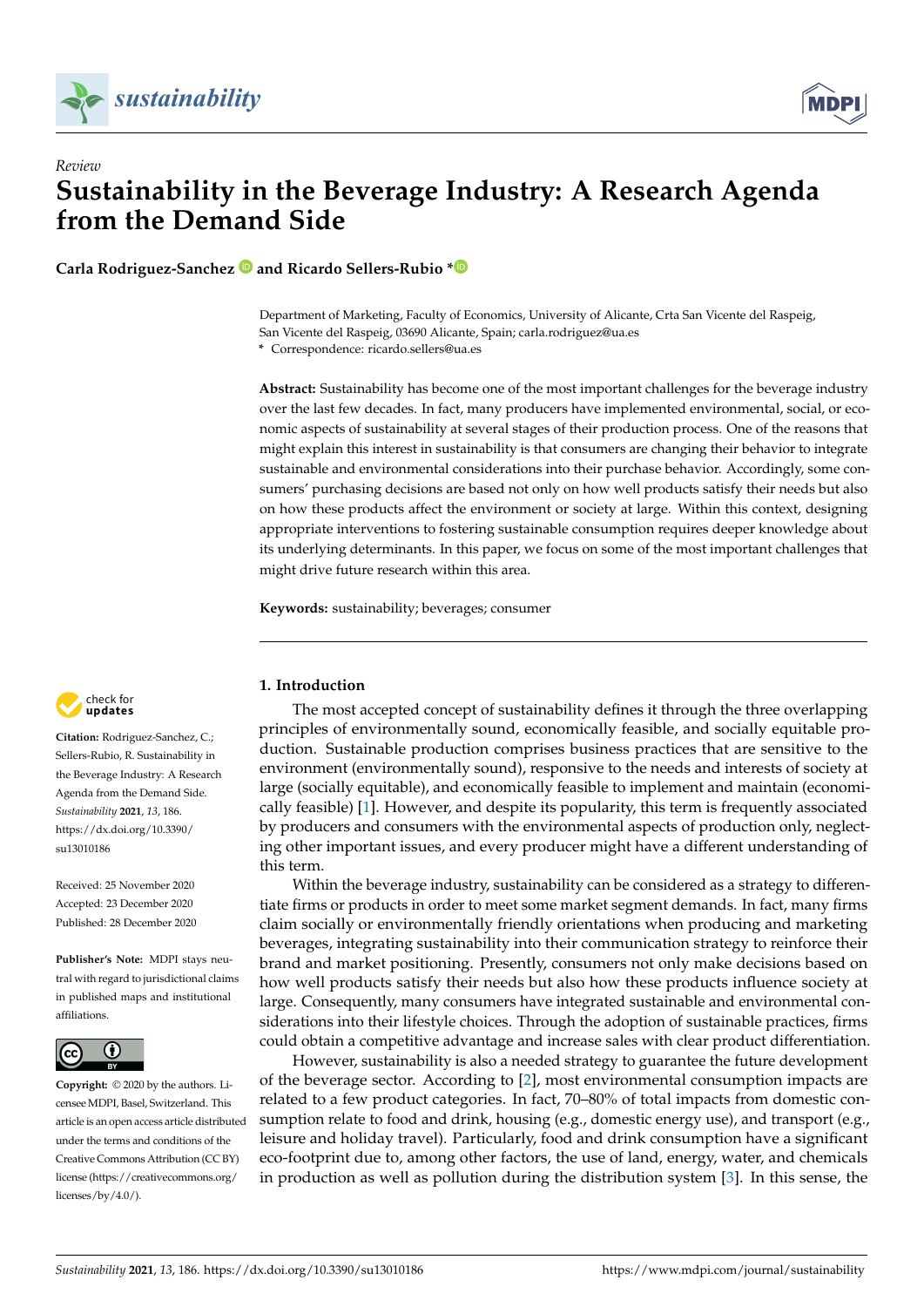

*Review*



# **Sustainability in the Beverage Industry: A Research Agenda from the Demand Side**

**Carla Rodriguez-Sanchez and Ricardo Sellers-Rubio [\\*](https://orcid.org/0000-0002-9108-1904)**

Department of Marketing, Faculty of Economics, University of Alicante, Crta San Vicente del Raspeig, San Vicente del Raspeig, 03690 Alicante, Spain; carla.rodriguez@ua.es **\*** Correspondence: ricardo.sellers@ua.es

**Abstract:** Sustainability has become one of the most important challenges for the beverage industry over the last few decades. In fact, many producers have implemented environmental, social, or economic aspects of sustainability at several stages of their production process. One of the reasons that might explain this interest in sustainability is that consumers are changing their behavior to integrate sustainable and environmental considerations into their purchase behavior. Accordingly, some consumers' purchasing decisions are based not only on how well products satisfy their needs but also on how these products affect the environment or society at large. Within this context, designing appropriate interventions to fostering sustainable consumption requires deeper knowledge about its underlying determinants. In this paper, we focus on some of the most important challenges that might drive future research within this area.

**Keywords:** sustainability; beverages; consumer



**Citation:** Rodriguez-Sanchez, C.; Sellers-Rubio, R. Sustainability in the Beverage Industry: A Research Agenda from the Demand Side. *Sustainability* **2021**, *13*, 186. [https://dx.doi.org/10.3390/](https://dx.doi.org/10.3390/su13010186) [su13010186](https://dx.doi.org/10.3390/su13010186)

Received: 25 November 2020 Accepted: 23 December 2020 Published: 28 December 2020

**Publisher's Note:** MDPI stays neutral with regard to jurisdictional claims in published maps and institutional affiliations.



**Copyright:** © 2020 by the authors. Licensee MDPI, Basel, Switzerland. This article is an open access article distributed under the terms and conditions of the Creative Commons Attribution (CC BY) license [\(https://creativecommons.org/](https://creativecommons.org/licenses/by/4.0/) [licenses/by/4.0/\)](https://creativecommons.org/licenses/by/4.0/).

## **1. Introduction**

The most accepted concept of sustainability defines it through the three overlapping principles of environmentally sound, economically feasible, and socially equitable production. Sustainable production comprises business practices that are sensitive to the environment (environmentally sound), responsive to the needs and interests of society at large (socially equitable), and economically feasible to implement and maintain (economically feasible) [\[1\]](#page-6-0). However, and despite its popularity, this term is frequently associated by producers and consumers with the environmental aspects of production only, neglecting other important issues, and every producer might have a different understanding of this term.

Within the beverage industry, sustainability can be considered as a strategy to differentiate firms or products in order to meet some market segment demands. In fact, many firms claim socially or environmentally friendly orientations when producing and marketing beverages, integrating sustainability into their communication strategy to reinforce their brand and market positioning. Presently, consumers not only make decisions based on how well products satisfy their needs but also how these products influence society at large. Consequently, many consumers have integrated sustainable and environmental considerations into their lifestyle choices. Through the adoption of sustainable practices, firms could obtain a competitive advantage and increase sales with clear product differentiation.

However, sustainability is also a needed strategy to guarantee the future development of the beverage sector. According to [\[2\]](#page-6-1), most environmental consumption impacts are related to a few product categories. In fact, 70–80% of total impacts from domestic consumption relate to food and drink, housing (e.g., domestic energy use), and transport (e.g., leisure and holiday travel). Particularly, food and drink consumption have a significant eco-footprint due to, among other factors, the use of land, energy, water, and chemicals in production as well as pollution during the distribution system [\[3\]](#page-6-2). In this sense, the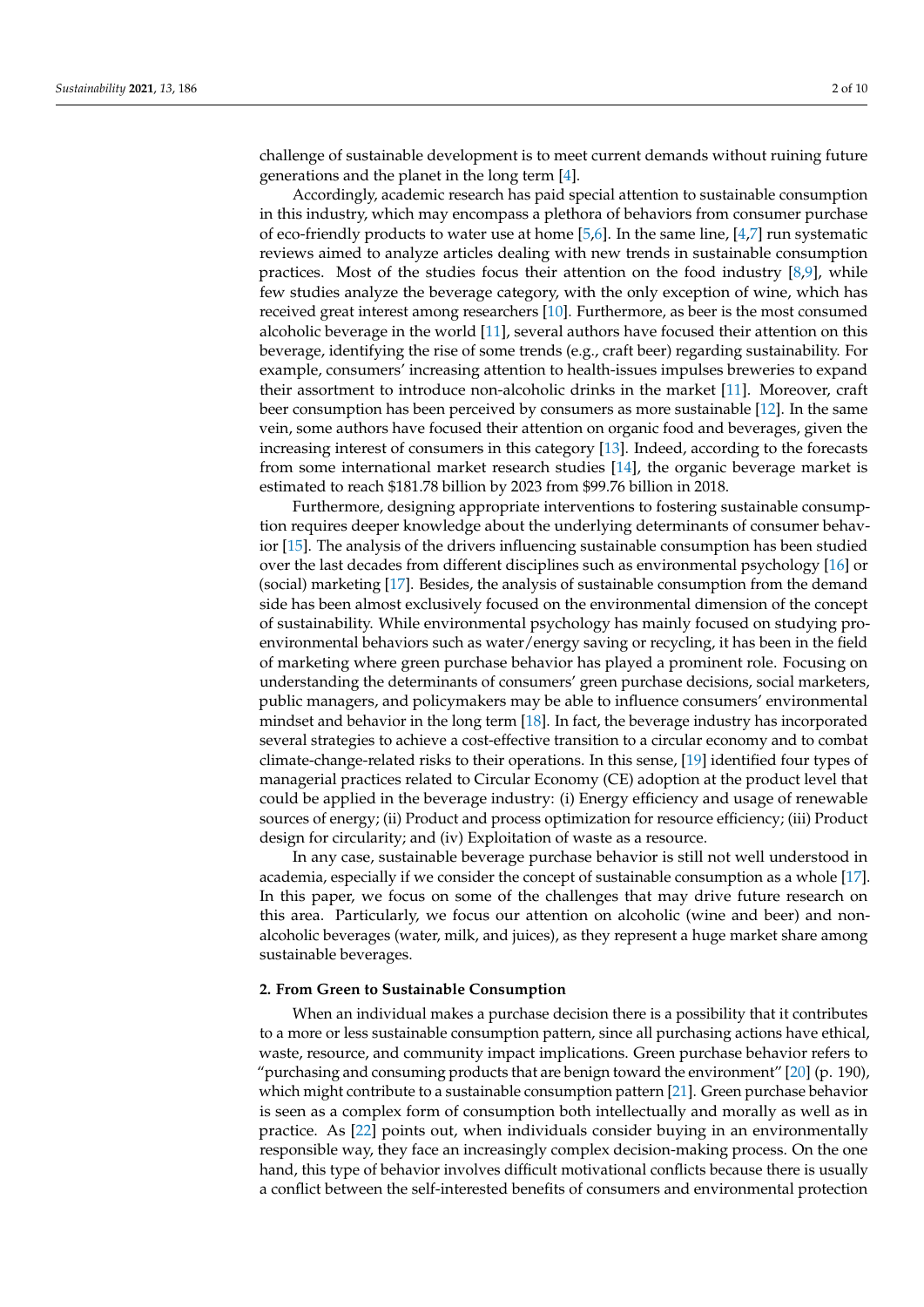challenge of sustainable development is to meet current demands without ruining future generations and the planet in the long term [\[4\]](#page-6-3).

Accordingly, academic research has paid special attention to sustainable consumption in this industry, which may encompass a plethora of behaviors from consumer purchase of eco-friendly products to water use at home [\[5,](#page-6-4)[6\]](#page-6-5). In the same line, [\[4,](#page-6-3)[7\]](#page-6-6) run systematic reviews aimed to analyze articles dealing with new trends in sustainable consumption practices. Most of the studies focus their attention on the food industry  $[8,9]$  $[8,9]$ , while few studies analyze the beverage category, with the only exception of wine, which has received great interest among researchers [\[10\]](#page-7-2). Furthermore, as beer is the most consumed alcoholic beverage in the world [\[11\]](#page-7-3), several authors have focused their attention on this beverage, identifying the rise of some trends (e.g., craft beer) regarding sustainability. For example, consumers' increasing attention to health-issues impulses breweries to expand their assortment to introduce non-alcoholic drinks in the market [\[11\]](#page-7-3). Moreover, craft beer consumption has been perceived by consumers as more sustainable [\[12\]](#page-7-4). In the same vein, some authors have focused their attention on organic food and beverages, given the increasing interest of consumers in this category [\[13\]](#page-7-5). Indeed, according to the forecasts from some international market research studies [\[14\]](#page-7-6), the organic beverage market is estimated to reach \$181.78 billion by 2023 from \$99.76 billion in 2018.

Furthermore, designing appropriate interventions to fostering sustainable consumption requires deeper knowledge about the underlying determinants of consumer behavior [\[15\]](#page-7-7). The analysis of the drivers influencing sustainable consumption has been studied over the last decades from different disciplines such as environmental psychology [\[16\]](#page-7-8) or (social) marketing [\[17\]](#page-7-9). Besides, the analysis of sustainable consumption from the demand side has been almost exclusively focused on the environmental dimension of the concept of sustainability. While environmental psychology has mainly focused on studying proenvironmental behaviors such as water/energy saving or recycling, it has been in the field of marketing where green purchase behavior has played a prominent role. Focusing on understanding the determinants of consumers' green purchase decisions, social marketers, public managers, and policymakers may be able to influence consumers' environmental mindset and behavior in the long term [\[18\]](#page-7-10). In fact, the beverage industry has incorporated several strategies to achieve a cost-effective transition to a circular economy and to combat climate-change-related risks to their operations. In this sense, [\[19\]](#page-7-11) identified four types of managerial practices related to Circular Economy (CE) adoption at the product level that could be applied in the beverage industry: (i) Energy efficiency and usage of renewable sources of energy; (ii) Product and process optimization for resource efficiency; (iii) Product design for circularity; and (iv) Exploitation of waste as a resource.

In any case, sustainable beverage purchase behavior is still not well understood in academia, especially if we consider the concept of sustainable consumption as a whole [\[17\]](#page-7-9). In this paper, we focus on some of the challenges that may drive future research on this area. Particularly, we focus our attention on alcoholic (wine and beer) and nonalcoholic beverages (water, milk, and juices), as they represent a huge market share among sustainable beverages.

### **2. From Green to Sustainable Consumption**

When an individual makes a purchase decision there is a possibility that it contributes to a more or less sustainable consumption pattern, since all purchasing actions have ethical, waste, resource, and community impact implications. Green purchase behavior refers to "purchasing and consuming products that are benign toward the environment" [\[20\]](#page-7-12) (p. 190), which might contribute to a sustainable consumption pattern [\[21\]](#page-7-13). Green purchase behavior is seen as a complex form of consumption both intellectually and morally as well as in practice. As [\[22\]](#page-7-14) points out, when individuals consider buying in an environmentally responsible way, they face an increasingly complex decision-making process. On the one hand, this type of behavior involves difficult motivational conflicts because there is usually a conflict between the self-interested benefits of consumers and environmental protection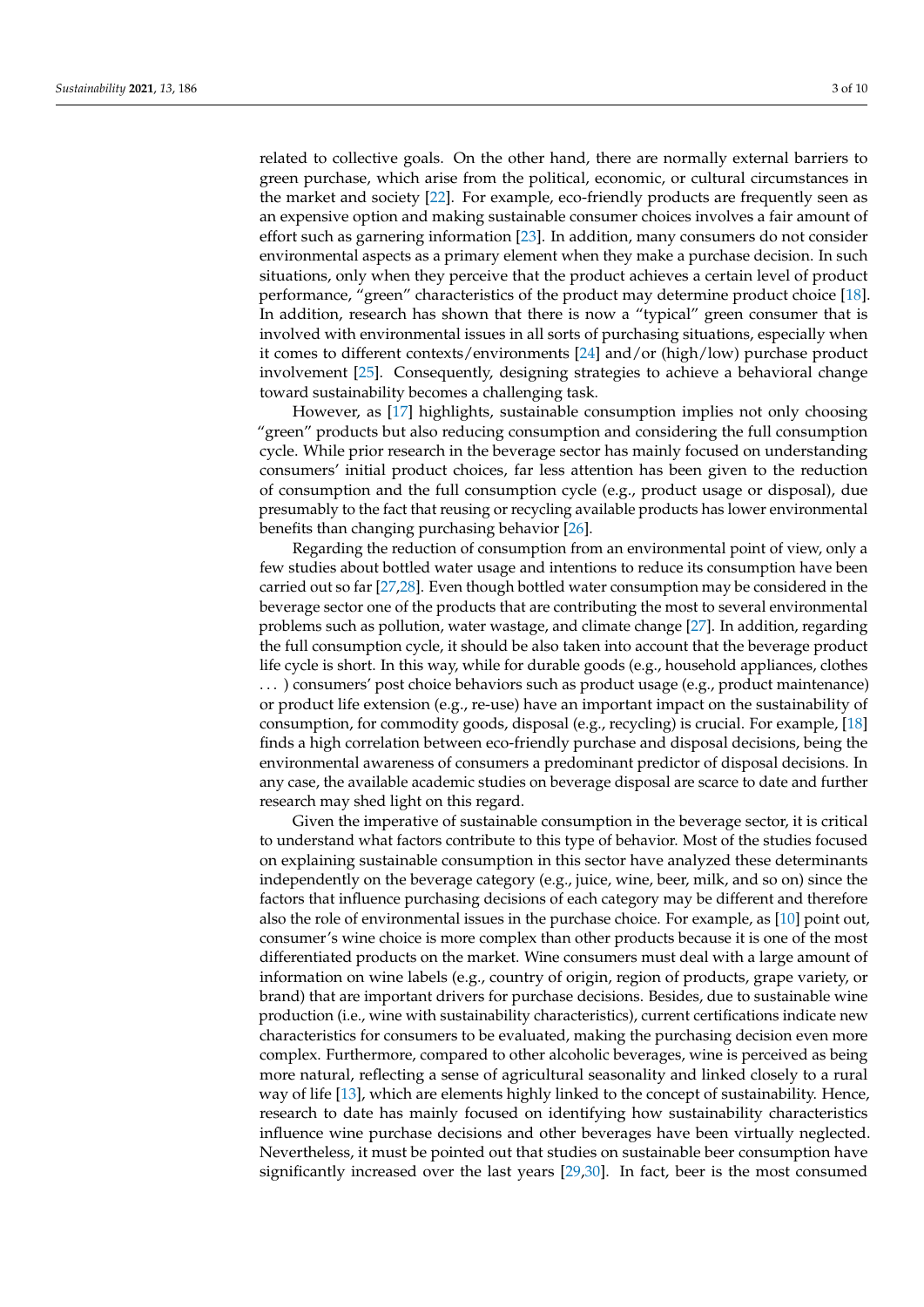related to collective goals. On the other hand, there are normally external barriers to green purchase, which arise from the political, economic, or cultural circumstances in the market and society [\[22\]](#page-7-14). For example, eco-friendly products are frequently seen as an expensive option and making sustainable consumer choices involves a fair amount of effort such as garnering information [\[23\]](#page-7-15). In addition, many consumers do not consider environmental aspects as a primary element when they make a purchase decision. In such situations, only when they perceive that the product achieves a certain level of product performance, "green" characteristics of the product may determine product choice [\[18\]](#page-7-10). In addition, research has shown that there is now a "typical" green consumer that is involved with environmental issues in all sorts of purchasing situations, especially when it comes to different contexts/environments [\[24\]](#page-7-16) and/or (high/low) purchase product involvement [\[25\]](#page-7-17). Consequently, designing strategies to achieve a behavioral change toward sustainability becomes a challenging task.

However, as [\[17\]](#page-7-9) highlights, sustainable consumption implies not only choosing "green" products but also reducing consumption and considering the full consumption cycle. While prior research in the beverage sector has mainly focused on understanding consumers' initial product choices, far less attention has been given to the reduction of consumption and the full consumption cycle (e.g., product usage or disposal), due presumably to the fact that reusing or recycling available products has lower environmental benefits than changing purchasing behavior [\[26\]](#page-7-18).

Regarding the reduction of consumption from an environmental point of view, only a few studies about bottled water usage and intentions to reduce its consumption have been carried out so far [\[27](#page-7-19)[,28\]](#page-7-20). Even though bottled water consumption may be considered in the beverage sector one of the products that are contributing the most to several environmental problems such as pollution, water wastage, and climate change [\[27\]](#page-7-19). In addition, regarding the full consumption cycle, it should be also taken into account that the beverage product life cycle is short. In this way, while for durable goods (e.g., household appliances, clothes . . . ) consumers' post choice behaviors such as product usage (e.g., product maintenance) or product life extension (e.g., re-use) have an important impact on the sustainability of consumption, for commodity goods, disposal (e.g., recycling) is crucial. For example, [\[18\]](#page-7-10) finds a high correlation between eco-friendly purchase and disposal decisions, being the environmental awareness of consumers a predominant predictor of disposal decisions. In any case, the available academic studies on beverage disposal are scarce to date and further research may shed light on this regard.

Given the imperative of sustainable consumption in the beverage sector, it is critical to understand what factors contribute to this type of behavior. Most of the studies focused on explaining sustainable consumption in this sector have analyzed these determinants independently on the beverage category (e.g., juice, wine, beer, milk, and so on) since the factors that influence purchasing decisions of each category may be different and therefore also the role of environmental issues in the purchase choice. For example, as [\[10\]](#page-7-2) point out, consumer's wine choice is more complex than other products because it is one of the most differentiated products on the market. Wine consumers must deal with a large amount of information on wine labels (e.g., country of origin, region of products, grape variety, or brand) that are important drivers for purchase decisions. Besides, due to sustainable wine production (i.e., wine with sustainability characteristics), current certifications indicate new characteristics for consumers to be evaluated, making the purchasing decision even more complex. Furthermore, compared to other alcoholic beverages, wine is perceived as being more natural, reflecting a sense of agricultural seasonality and linked closely to a rural way of life [\[13\]](#page-7-5), which are elements highly linked to the concept of sustainability. Hence, research to date has mainly focused on identifying how sustainability characteristics influence wine purchase decisions and other beverages have been virtually neglected. Nevertheless, it must be pointed out that studies on sustainable beer consumption have significantly increased over the last years [\[29](#page-7-21)[,30\]](#page-7-22). In fact, beer is the most consumed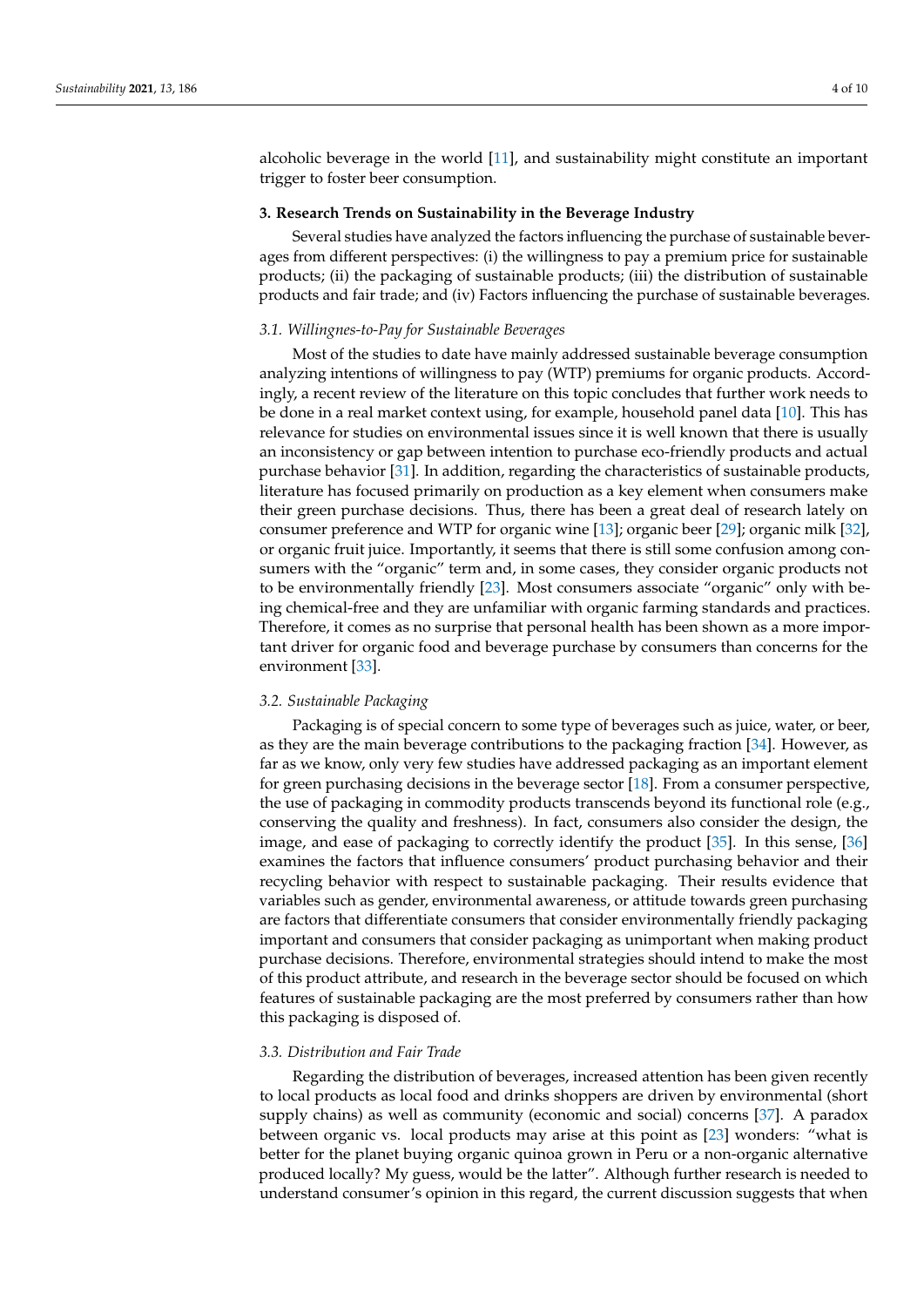alcoholic beverage in the world [\[11\]](#page-7-3), and sustainability might constitute an important trigger to foster beer consumption.

## **3. Research Trends on Sustainability in the Beverage Industry**

Several studies have analyzed the factors influencing the purchase of sustainable beverages from different perspectives: (i) the willingness to pay a premium price for sustainable products; (ii) the packaging of sustainable products; (iii) the distribution of sustainable products and fair trade; and (iv) Factors influencing the purchase of sustainable beverages.

## *3.1. Willingnes-to-Pay for Sustainable Beverages*

Most of the studies to date have mainly addressed sustainable beverage consumption analyzing intentions of willingness to pay (WTP) premiums for organic products. Accordingly, a recent review of the literature on this topic concludes that further work needs to be done in a real market context using, for example, household panel data [\[10\]](#page-7-2). This has relevance for studies on environmental issues since it is well known that there is usually an inconsistency or gap between intention to purchase eco-friendly products and actual purchase behavior [\[31\]](#page-7-23). In addition, regarding the characteristics of sustainable products, literature has focused primarily on production as a key element when consumers make their green purchase decisions. Thus, there has been a great deal of research lately on consumer preference and WTP for organic wine [\[13\]](#page-7-5); organic beer [\[29\]](#page-7-21); organic milk [\[32\]](#page-7-24), or organic fruit juice. Importantly, it seems that there is still some confusion among consumers with the "organic" term and, in some cases, they consider organic products not to be environmentally friendly [\[23\]](#page-7-15). Most consumers associate "organic" only with being chemical-free and they are unfamiliar with organic farming standards and practices. Therefore, it comes as no surprise that personal health has been shown as a more important driver for organic food and beverage purchase by consumers than concerns for the environment [\[33\]](#page-7-25).

## *3.2. Sustainable Packaging*

Packaging is of special concern to some type of beverages such as juice, water, or beer, as they are the main beverage contributions to the packaging fraction [\[34\]](#page-7-26). However, as far as we know, only very few studies have addressed packaging as an important element for green purchasing decisions in the beverage sector [\[18\]](#page-7-10). From a consumer perspective, the use of packaging in commodity products transcends beyond its functional role (e.g., conserving the quality and freshness). In fact, consumers also consider the design, the image, and ease of packaging to correctly identify the product [\[35\]](#page-7-27). In this sense, [\[36\]](#page-7-28) examines the factors that influence consumers' product purchasing behavior and their recycling behavior with respect to sustainable packaging. Their results evidence that variables such as gender, environmental awareness, or attitude towards green purchasing are factors that differentiate consumers that consider environmentally friendly packaging important and consumers that consider packaging as unimportant when making product purchase decisions. Therefore, environmental strategies should intend to make the most of this product attribute, and research in the beverage sector should be focused on which features of sustainable packaging are the most preferred by consumers rather than how this packaging is disposed of.

#### *3.3. Distribution and Fair Trade*

Regarding the distribution of beverages, increased attention has been given recently to local products as local food and drinks shoppers are driven by environmental (short supply chains) as well as community (economic and social) concerns [\[37\]](#page-7-29). A paradox between organic vs. local products may arise at this point as [\[23\]](#page-7-15) wonders: "what is better for the planet buying organic quinoa grown in Peru or a non-organic alternative produced locally? My guess, would be the latter". Although further research is needed to understand consumer's opinion in this regard, the current discussion suggests that when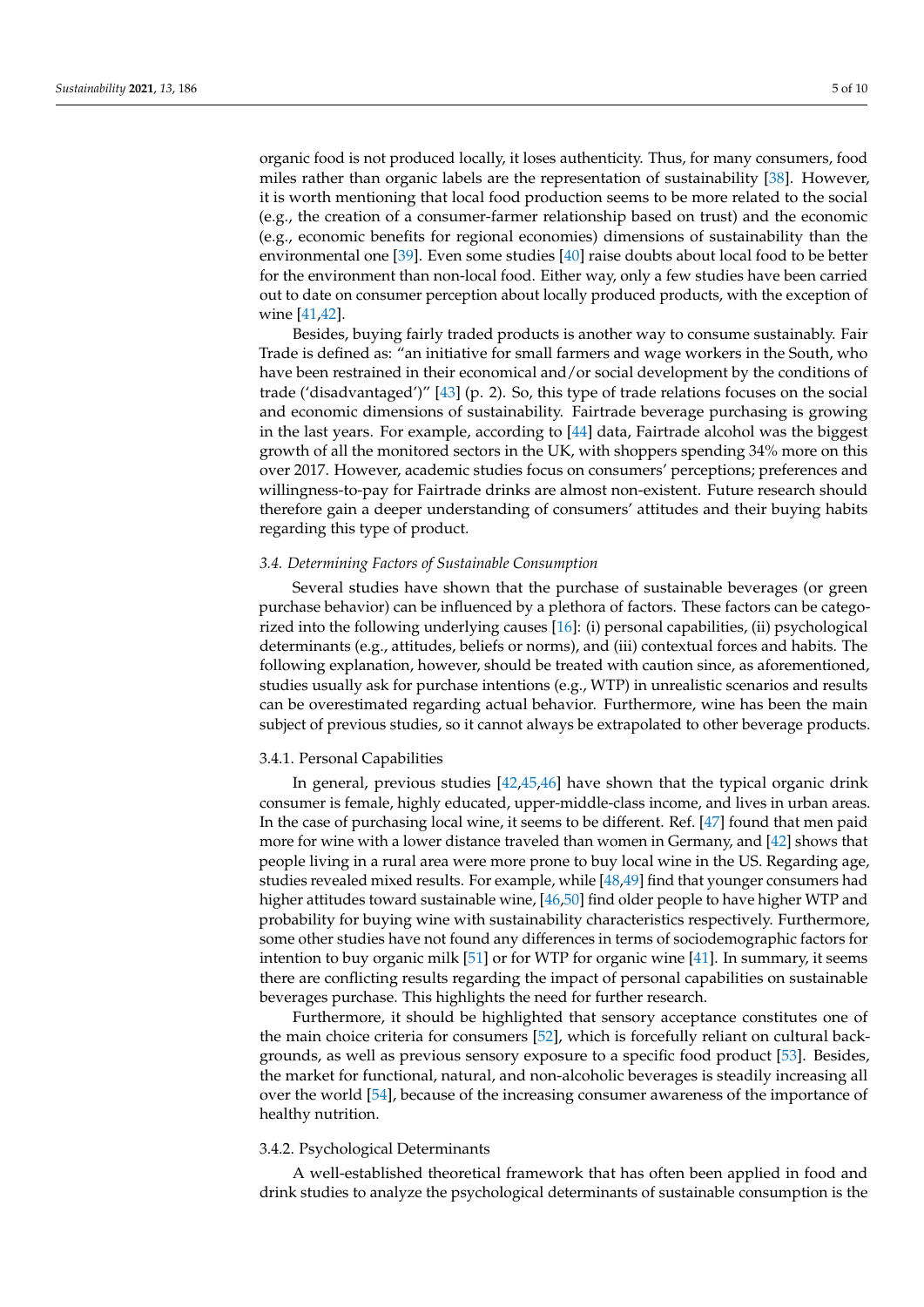organic food is not produced locally, it loses authenticity. Thus, for many consumers, food miles rather than organic labels are the representation of sustainability [\[38\]](#page-7-30). However, it is worth mentioning that local food production seems to be more related to the social (e.g., the creation of a consumer-farmer relationship based on trust) and the economic (e.g., economic benefits for regional economies) dimensions of sustainability than the environmental one [\[39\]](#page-8-0). Even some studies [\[40\]](#page-8-1) raise doubts about local food to be better for the environment than non-local food. Either way, only a few studies have been carried out to date on consumer perception about locally produced products, with the exception of wine [\[41](#page-8-2)[,42\]](#page-8-3).

Besides, buying fairly traded products is another way to consume sustainably. Fair Trade is defined as: "an initiative for small farmers and wage workers in the South, who have been restrained in their economical and/or social development by the conditions of trade ('disadvantaged')" [\[43\]](#page-8-4) (p. 2). So, this type of trade relations focuses on the social and economic dimensions of sustainability. Fairtrade beverage purchasing is growing in the last years. For example, according to [\[44\]](#page-8-5) data, Fairtrade alcohol was the biggest growth of all the monitored sectors in the UK, with shoppers spending 34% more on this over 2017. However, academic studies focus on consumers' perceptions; preferences and willingness-to-pay for Fairtrade drinks are almost non-existent. Future research should therefore gain a deeper understanding of consumers' attitudes and their buying habits regarding this type of product.

#### *3.4. Determining Factors of Sustainable Consumption*

Several studies have shown that the purchase of sustainable beverages (or green purchase behavior) can be influenced by a plethora of factors. These factors can be categorized into the following underlying causes [\[16\]](#page-7-8): (i) personal capabilities, (ii) psychological determinants (e.g., attitudes, beliefs or norms), and (iii) contextual forces and habits. The following explanation, however, should be treated with caution since, as aforementioned, studies usually ask for purchase intentions (e.g., WTP) in unrealistic scenarios and results can be overestimated regarding actual behavior. Furthermore, wine has been the main subject of previous studies, so it cannot always be extrapolated to other beverage products.

#### 3.4.1. Personal Capabilities

In general, previous studies [\[42](#page-8-3)[,45,](#page-8-6)[46\]](#page-8-7) have shown that the typical organic drink consumer is female, highly educated, upper-middle-class income, and lives in urban areas. In the case of purchasing local wine, it seems to be different. Ref. [\[47\]](#page-8-8) found that men paid more for wine with a lower distance traveled than women in Germany, and [\[42\]](#page-8-3) shows that people living in a rural area were more prone to buy local wine in the US. Regarding age, studies revealed mixed results. For example, while [\[48](#page-8-9)[,49\]](#page-8-10) find that younger consumers had higher attitudes toward sustainable wine, [\[46](#page-8-7)[,50\]](#page-8-11) find older people to have higher WTP and probability for buying wine with sustainability characteristics respectively. Furthermore, some other studies have not found any differences in terms of sociodemographic factors for intention to buy organic milk [\[51\]](#page-8-12) or for WTP for organic wine [\[41\]](#page-8-2). In summary, it seems there are conflicting results regarding the impact of personal capabilities on sustainable beverages purchase. This highlights the need for further research.

Furthermore, it should be highlighted that sensory acceptance constitutes one of the main choice criteria for consumers [\[52\]](#page-8-13), which is forcefully reliant on cultural backgrounds, as well as previous sensory exposure to a specific food product [\[53\]](#page-8-14). Besides, the market for functional, natural, and non-alcoholic beverages is steadily increasing all over the world [\[54\]](#page-8-15), because of the increasing consumer awareness of the importance of healthy nutrition.

## 3.4.2. Psychological Determinants

A well-established theoretical framework that has often been applied in food and drink studies to analyze the psychological determinants of sustainable consumption is the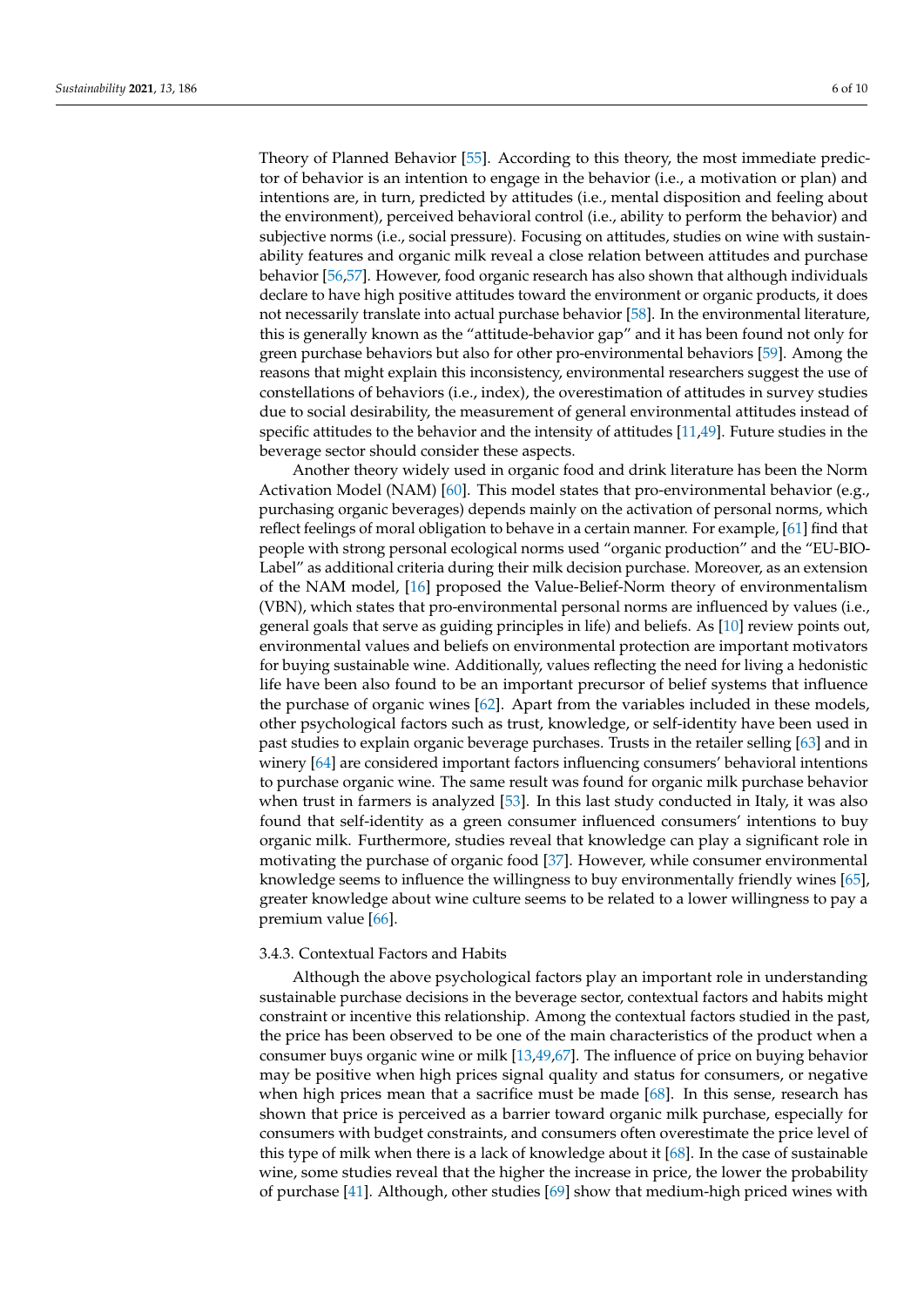Theory of Planned Behavior [\[55\]](#page-8-16). According to this theory, the most immediate predictor of behavior is an intention to engage in the behavior (i.e., a motivation or plan) and intentions are, in turn, predicted by attitudes (i.e., mental disposition and feeling about the environment), perceived behavioral control (i.e., ability to perform the behavior) and subjective norms (i.e., social pressure). Focusing on attitudes, studies on wine with sustainability features and organic milk reveal a close relation between attitudes and purchase behavior [\[56](#page-8-17)[,57\]](#page-8-18). However, food organic research has also shown that although individuals declare to have high positive attitudes toward the environment or organic products, it does not necessarily translate into actual purchase behavior [\[58\]](#page-8-19). In the environmental literature, this is generally known as the "attitude-behavior gap" and it has been found not only for green purchase behaviors but also for other pro-environmental behaviors [\[59\]](#page-8-20). Among the reasons that might explain this inconsistency, environmental researchers suggest the use of constellations of behaviors (i.e., index), the overestimation of attitudes in survey studies due to social desirability, the measurement of general environmental attitudes instead of specific attitudes to the behavior and the intensity of attitudes [\[11,](#page-7-3)[49\]](#page-8-10). Future studies in the beverage sector should consider these aspects.

Another theory widely used in organic food and drink literature has been the Norm Activation Model (NAM) [\[60\]](#page-8-21). This model states that pro-environmental behavior (e.g., purchasing organic beverages) depends mainly on the activation of personal norms, which reflect feelings of moral obligation to behave in a certain manner. For example, [\[61\]](#page-8-22) find that people with strong personal ecological norms used "organic production" and the "EU-BIO-Label" as additional criteria during their milk decision purchase. Moreover, as an extension of the NAM model, [\[16\]](#page-7-8) proposed the Value-Belief-Norm theory of environmentalism (VBN), which states that pro-environmental personal norms are influenced by values (i.e., general goals that serve as guiding principles in life) and beliefs. As [\[10\]](#page-7-2) review points out, environmental values and beliefs on environmental protection are important motivators for buying sustainable wine. Additionally, values reflecting the need for living a hedonistic life have been also found to be an important precursor of belief systems that influence the purchase of organic wines [\[62\]](#page-8-23). Apart from the variables included in these models, other psychological factors such as trust, knowledge, or self-identity have been used in past studies to explain organic beverage purchases. Trusts in the retailer selling [\[63\]](#page-8-24) and in winery [\[64\]](#page-8-25) are considered important factors influencing consumers' behavioral intentions to purchase organic wine. The same result was found for organic milk purchase behavior when trust in farmers is analyzed [\[53\]](#page-8-14). In this last study conducted in Italy, it was also found that self-identity as a green consumer influenced consumers' intentions to buy organic milk. Furthermore, studies reveal that knowledge can play a significant role in motivating the purchase of organic food [\[37\]](#page-7-29). However, while consumer environmental knowledge seems to influence the willingness to buy environmentally friendly wines [\[65\]](#page-8-26), greater knowledge about wine culture seems to be related to a lower willingness to pay a premium value [\[66\]](#page-8-27).

## 3.4.3. Contextual Factors and Habits

Although the above psychological factors play an important role in understanding sustainable purchase decisions in the beverage sector, contextual factors and habits might constraint or incentive this relationship. Among the contextual factors studied in the past, the price has been observed to be one of the main characteristics of the product when a consumer buys organic wine or milk [\[13](#page-7-5)[,49](#page-8-10)[,67\]](#page-9-0). The influence of price on buying behavior may be positive when high prices signal quality and status for consumers, or negative when high prices mean that a sacrifice must be made [\[68\]](#page-9-1). In this sense, research has shown that price is perceived as a barrier toward organic milk purchase, especially for consumers with budget constraints, and consumers often overestimate the price level of this type of milk when there is a lack of knowledge about it [\[68\]](#page-9-1). In the case of sustainable wine, some studies reveal that the higher the increase in price, the lower the probability of purchase [\[41\]](#page-8-2). Although, other studies [\[69\]](#page-9-2) show that medium-high priced wines with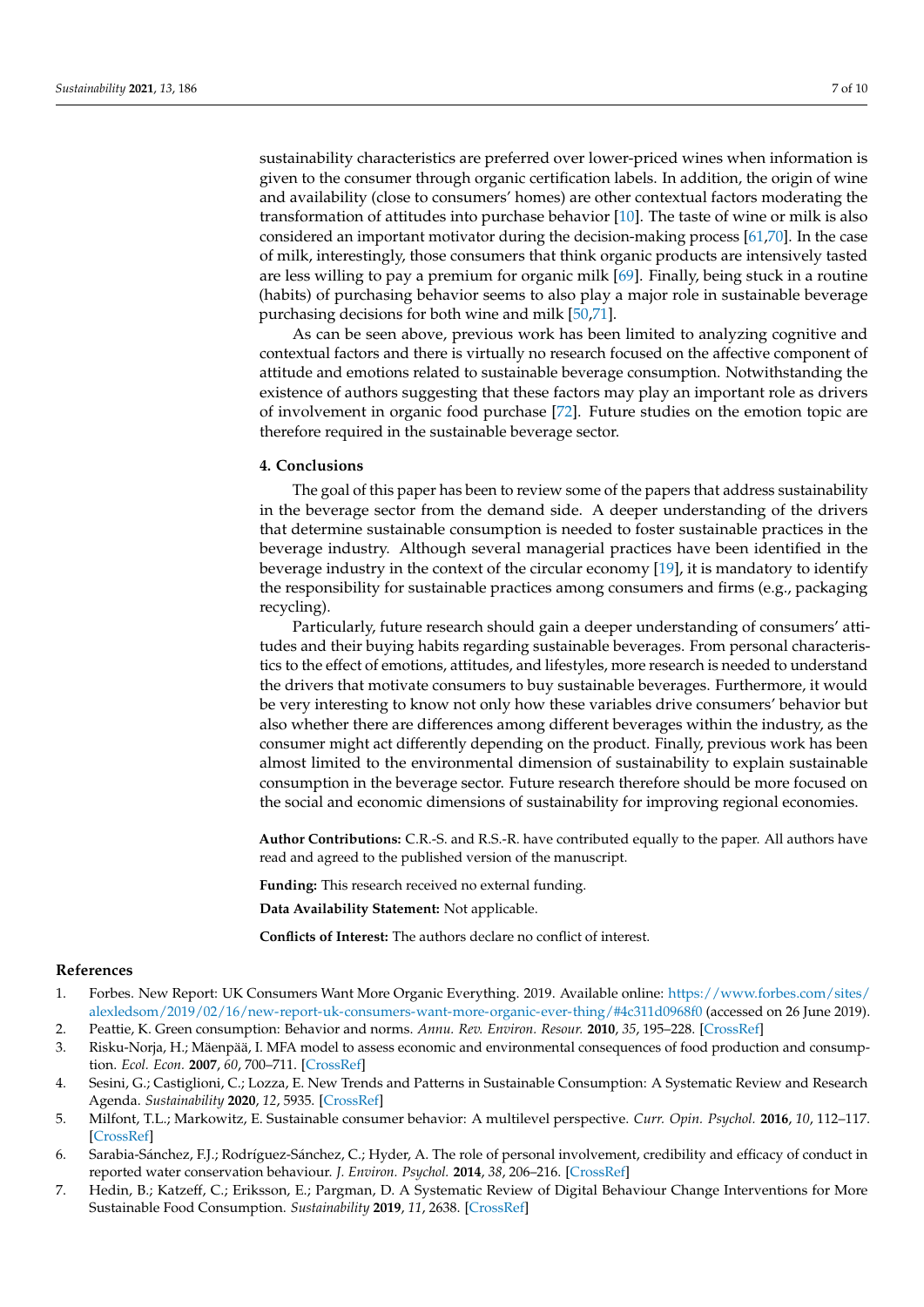sustainability characteristics are preferred over lower-priced wines when information is given to the consumer through organic certification labels. In addition, the origin of wine and availability (close to consumers' homes) are other contextual factors moderating the transformation of attitudes into purchase behavior [\[10\]](#page-7-2). The taste of wine or milk is also considered an important motivator during the decision-making process [\[61](#page-8-22)[,70\]](#page-9-3). In the case of milk, interestingly, those consumers that think organic products are intensively tasted are less willing to pay a premium for organic milk [\[69\]](#page-9-2). Finally, being stuck in a routine (habits) of purchasing behavior seems to also play a major role in sustainable beverage purchasing decisions for both wine and milk [\[50](#page-8-11)[,71\]](#page-9-4).

As can be seen above, previous work has been limited to analyzing cognitive and contextual factors and there is virtually no research focused on the affective component of attitude and emotions related to sustainable beverage consumption. Notwithstanding the existence of authors suggesting that these factors may play an important role as drivers of involvement in organic food purchase [\[72\]](#page-9-5). Future studies on the emotion topic are therefore required in the sustainable beverage sector.

## **4. Conclusions**

The goal of this paper has been to review some of the papers that address sustainability in the beverage sector from the demand side. A deeper understanding of the drivers that determine sustainable consumption is needed to foster sustainable practices in the beverage industry. Although several managerial practices have been identified in the beverage industry in the context of the circular economy [\[19\]](#page-7-11), it is mandatory to identify the responsibility for sustainable practices among consumers and firms (e.g., packaging recycling).

Particularly, future research should gain a deeper understanding of consumers' attitudes and their buying habits regarding sustainable beverages. From personal characteristics to the effect of emotions, attitudes, and lifestyles, more research is needed to understand the drivers that motivate consumers to buy sustainable beverages. Furthermore, it would be very interesting to know not only how these variables drive consumers' behavior but also whether there are differences among different beverages within the industry, as the consumer might act differently depending on the product. Finally, previous work has been almost limited to the environmental dimension of sustainability to explain sustainable consumption in the beverage sector. Future research therefore should be more focused on the social and economic dimensions of sustainability for improving regional economies.

**Author Contributions:** C.R.-S. and R.S.-R. have contributed equally to the paper. All authors have read and agreed to the published version of the manuscript.

**Funding:** This research received no external funding.

**Data Availability Statement:** Not applicable.

**Conflicts of Interest:** The authors declare no conflict of interest.

#### **References**

- <span id="page-6-0"></span>1. Forbes. New Report: UK Consumers Want More Organic Everything. 2019. Available online: [https://www.forbes.com/sites/](https://www.forbes.com/sites/alexledsom/2019/02/16/new-report-uk-consumers-want-more-organic-ever-thing/#4c311d0968f0) [alexledsom/2019/02/16/new-report-uk-consumers-want-more-organic-ever-thing/#4c311d0968f0](https://www.forbes.com/sites/alexledsom/2019/02/16/new-report-uk-consumers-want-more-organic-ever-thing/#4c311d0968f0) (accessed on 26 June 2019).
- <span id="page-6-1"></span>2. Peattie, K. Green consumption: Behavior and norms. *Annu. Rev. Environ. Resour.* **2010**, *35*, 195–228. [\[CrossRef\]](http://dx.doi.org/10.1146/annurev-environ-032609-094328)
- <span id="page-6-2"></span>3. Risku-Norja, H.; Mäenpää, I. MFA model to assess economic and environmental consequences of food production and consumption. *Ecol. Econ.* **2007**, *60*, 700–711. [\[CrossRef\]](http://dx.doi.org/10.1016/j.ecolecon.2006.05.001)
- <span id="page-6-3"></span>4. Sesini, G.; Castiglioni, C.; Lozza, E. New Trends and Patterns in Sustainable Consumption: A Systematic Review and Research Agenda. *Sustainability* **2020**, *12*, 5935. [\[CrossRef\]](http://dx.doi.org/10.3390/su12155935)
- <span id="page-6-4"></span>5. Milfont, T.L.; Markowitz, E. Sustainable consumer behavior: A multilevel perspective. *Curr. Opin. Psychol.* **2016**, *10*, 112–117. [\[CrossRef\]](http://dx.doi.org/10.1016/j.copsyc.2015.12.016)
- <span id="page-6-5"></span>6. Sarabia-Sánchez, F.J.; Rodríguez-Sánchez, C.; Hyder, A. The role of personal involvement, credibility and efficacy of conduct in reported water conservation behaviour. *J. Environ. Psychol.* **2014**, *38*, 206–216. [\[CrossRef\]](http://dx.doi.org/10.1016/j.jenvp.2014.02.003)
- <span id="page-6-6"></span>7. Hedin, B.; Katzeff, C.; Eriksson, E.; Pargman, D. A Systematic Review of Digital Behaviour Change Interventions for More Sustainable Food Consumption. *Sustainability* **2019**, *11*, 2638. [\[CrossRef\]](http://dx.doi.org/10.3390/su11092638)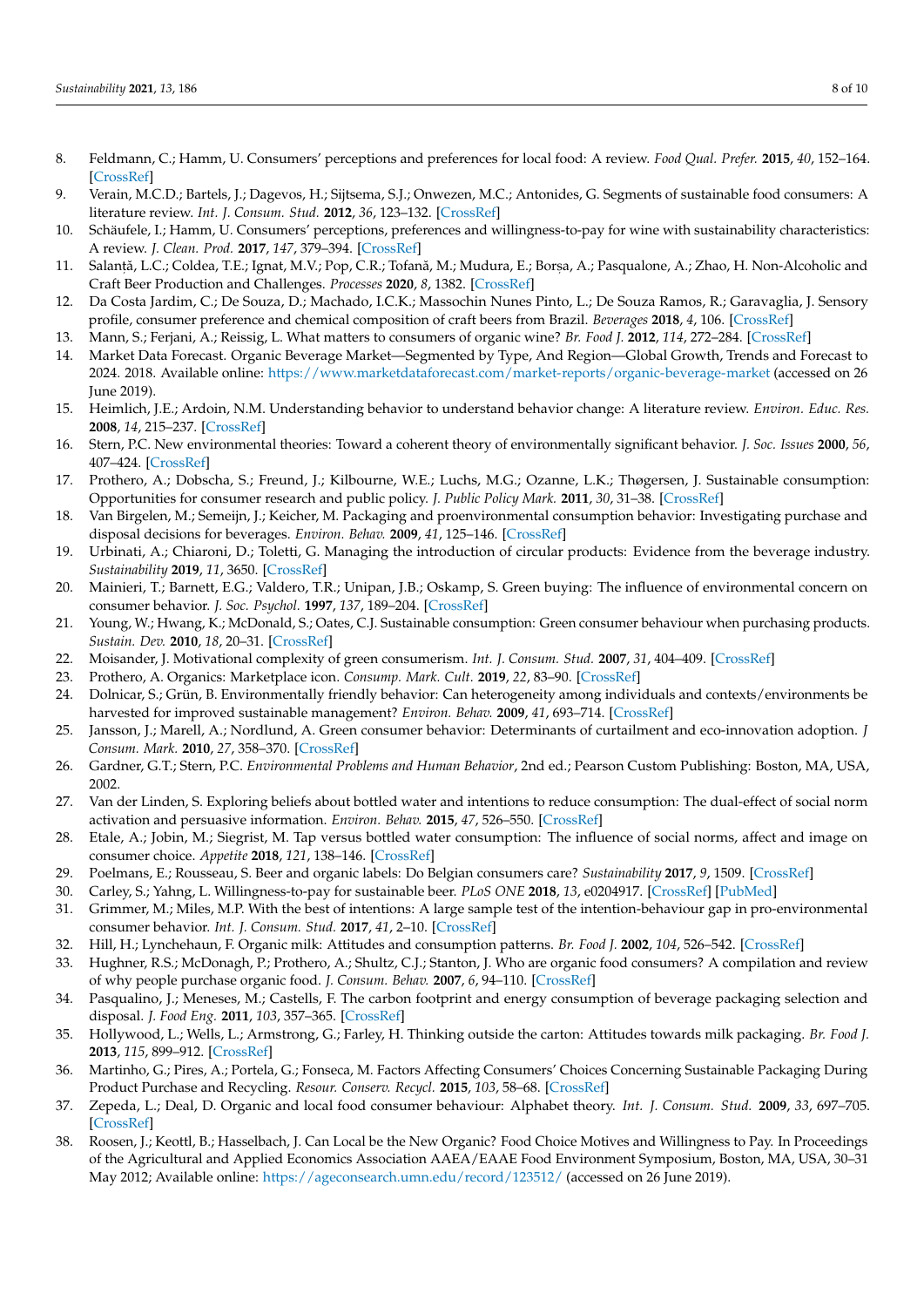- <span id="page-7-0"></span>8. Feldmann, C.; Hamm, U. Consumers' perceptions and preferences for local food: A review. *Food Qual. Prefer.* **2015**, *40*, 152–164. [\[CrossRef\]](http://dx.doi.org/10.1016/j.foodqual.2014.09.014)
- <span id="page-7-1"></span>9. Verain, M.C.D.; Bartels, J.; Dagevos, H.; Sijtsema, S.J.; Onwezen, M.C.; Antonides, G. Segments of sustainable food consumers: A literature review. *Int. J. Consum. Stud.* **2012**, *36*, 123–132. [\[CrossRef\]](http://dx.doi.org/10.1111/j.1470-6431.2011.01082.x)
- <span id="page-7-2"></span>10. Schäufele, I.; Hamm, U. Consumers' perceptions, preferences and willingness-to-pay for wine with sustainability characteristics: A review. *J. Clean. Prod.* **2017**, *147*, 379–394. [\[CrossRef\]](http://dx.doi.org/10.1016/j.jclepro.2017.01.118)
- <span id="page-7-3"></span>11. Salanță, L.C.; Coldea, T.E.; Ignat, M.V.; Pop, C.R.; Tofană, M.; Mudura, E.; Borșa, A.; Pasqualone, A.; Zhao, H. Non-Alcoholic and Craft Beer Production and Challenges. *Processes* **2020**, *8*, 1382. [\[CrossRef\]](http://dx.doi.org/10.3390/pr8111382)
- <span id="page-7-4"></span>12. Da Costa Jardim, C.; De Souza, D.; Machado, I.C.K.; Massochin Nunes Pinto, L.; De Souza Ramos, R.; Garavaglia, J. Sensory profile, consumer preference and chemical composition of craft beers from Brazil. *Beverages* **2018**, *4*, 106. [\[CrossRef\]](http://dx.doi.org/10.3390/beverages4040106)
- <span id="page-7-5"></span>13. Mann, S.; Ferjani, A.; Reissig, L. What matters to consumers of organic wine? *Br. Food J.* **2012**, *114*, 272–284. [\[CrossRef\]](http://dx.doi.org/10.1108/00070701211202430)
- <span id="page-7-6"></span>14. Market Data Forecast. Organic Beverage Market—Segmented by Type, And Region—Global Growth, Trends and Forecast to 2024. 2018. Available online: <https://www.marketdataforecast.com/market-reports/organic-beverage-market> (accessed on 26 June 2019).
- <span id="page-7-7"></span>15. Heimlich, J.E.; Ardoin, N.M. Understanding behavior to understand behavior change: A literature review. *Environ. Educ. Res.* **2008**, *14*, 215–237. [\[CrossRef\]](http://dx.doi.org/10.1080/13504620802148881)
- <span id="page-7-8"></span>16. Stern, P.C. New environmental theories: Toward a coherent theory of environmentally significant behavior. *J. Soc. Issues* **2000**, *56*, 407–424. [\[CrossRef\]](http://dx.doi.org/10.1111/0022-4537.00175)
- <span id="page-7-9"></span>17. Prothero, A.; Dobscha, S.; Freund, J.; Kilbourne, W.E.; Luchs, M.G.; Ozanne, L.K.; Thøgersen, J. Sustainable consumption: Opportunities for consumer research and public policy. *J. Public Policy Mark.* **2011**, *30*, 31–38. [\[CrossRef\]](http://dx.doi.org/10.1509/jppm.30.1.31)
- <span id="page-7-10"></span>18. Van Birgelen, M.; Semeijn, J.; Keicher, M. Packaging and proenvironmental consumption behavior: Investigating purchase and disposal decisions for beverages. *Environ. Behav.* **2009**, *41*, 125–146. [\[CrossRef\]](http://dx.doi.org/10.1177/0013916507311140)
- <span id="page-7-11"></span>19. Urbinati, A.; Chiaroni, D.; Toletti, G. Managing the introduction of circular products: Evidence from the beverage industry. *Sustainability* **2019**, *11*, 3650. [\[CrossRef\]](http://dx.doi.org/10.3390/su11133650)
- <span id="page-7-12"></span>20. Mainieri, T.; Barnett, E.G.; Valdero, T.R.; Unipan, J.B.; Oskamp, S. Green buying: The influence of environmental concern on consumer behavior. *J. Soc. Psychol.* **1997**, *137*, 189–204. [\[CrossRef\]](http://dx.doi.org/10.1080/00224549709595430)
- <span id="page-7-13"></span>21. Young, W.; Hwang, K.; McDonald, S.; Oates, C.J. Sustainable consumption: Green consumer behaviour when purchasing products. *Sustain. Dev.* **2010**, *18*, 20–31. [\[CrossRef\]](http://dx.doi.org/10.1002/sd.394)
- <span id="page-7-14"></span>22. Moisander, J. Motivational complexity of green consumerism. *Int. J. Consum. Stud.* **2007**, *31*, 404–409. [\[CrossRef\]](http://dx.doi.org/10.1111/j.1470-6431.2007.00586.x)
- <span id="page-7-15"></span>23. Prothero, A. Organics: Marketplace icon. *Consump. Mark. Cult.* **2019**, *22*, 83–90. [\[CrossRef\]](http://dx.doi.org/10.1080/10253866.2017.1379132)
- <span id="page-7-16"></span>24. Dolnicar, S.; Grün, B. Environmentally friendly behavior: Can heterogeneity among individuals and contexts/environments be harvested for improved sustainable management? *Environ. Behav.* **2009**, *41*, 693–714. [\[CrossRef\]](http://dx.doi.org/10.1177/0013916508319448)
- <span id="page-7-17"></span>25. Jansson, J.; Marell, A.; Nordlund, A. Green consumer behavior: Determinants of curtailment and eco-innovation adoption. *J Consum. Mark.* **2010**, *27*, 358–370. [\[CrossRef\]](http://dx.doi.org/10.1108/07363761011052396)
- <span id="page-7-18"></span>26. Gardner, G.T.; Stern, P.C. *Environmental Problems and Human Behavior*, 2nd ed.; Pearson Custom Publishing: Boston, MA, USA, 2002.
- <span id="page-7-19"></span>27. Van der Linden, S. Exploring beliefs about bottled water and intentions to reduce consumption: The dual-effect of social norm activation and persuasive information. *Environ. Behav.* **2015**, *47*, 526–550. [\[CrossRef\]](http://dx.doi.org/10.1177/0013916513515239)
- <span id="page-7-20"></span>28. Etale, A.; Jobin, M.; Siegrist, M. Tap versus bottled water consumption: The influence of social norms, affect and image on consumer choice. *Appetite* **2018**, *121*, 138–146. [\[CrossRef\]](http://dx.doi.org/10.1016/j.appet.2017.11.090)
- <span id="page-7-21"></span>29. Poelmans, E.; Rousseau, S. Beer and organic labels: Do Belgian consumers care? *Sustainability* **2017**, *9*, 1509. [\[CrossRef\]](http://dx.doi.org/10.3390/su9091509)
- <span id="page-7-22"></span>30. Carley, S.; Yahng, L. Willingness-to-pay for sustainable beer. *PLoS ONE* **2018**, *13*, e0204917. [\[CrossRef\]](http://dx.doi.org/10.1371/journal.pone.0204917) [\[PubMed\]](http://www.ncbi.nlm.nih.gov/pubmed/30289903)
- <span id="page-7-23"></span>31. Grimmer, M.; Miles, M.P. With the best of intentions: A large sample test of the intention-behaviour gap in pro-environmental consumer behavior. *Int. J. Consum. Stud.* **2017**, *41*, 2–10. [\[CrossRef\]](http://dx.doi.org/10.1111/ijcs.12290)
- <span id="page-7-24"></span>32. Hill, H.; Lynchehaun, F. Organic milk: Attitudes and consumption patterns. *Br. Food J.* **2002**, *104*, 526–542. [\[CrossRef\]](http://dx.doi.org/10.1108/00070700210434570)
- <span id="page-7-25"></span>33. Hughner, R.S.; McDonagh, P.; Prothero, A.; Shultz, C.J.; Stanton, J. Who are organic food consumers? A compilation and review of why people purchase organic food. *J. Consum. Behav.* **2007**, *6*, 94–110. [\[CrossRef\]](http://dx.doi.org/10.1002/cb.210)
- <span id="page-7-26"></span>34. Pasqualino, J.; Meneses, M.; Castells, F. The carbon footprint and energy consumption of beverage packaging selection and disposal. *J. Food Eng.* **2011**, *103*, 357–365. [\[CrossRef\]](http://dx.doi.org/10.1016/j.jfoodeng.2010.11.005)
- <span id="page-7-27"></span>35. Hollywood, L.; Wells, L.; Armstrong, G.; Farley, H. Thinking outside the carton: Attitudes towards milk packaging. *Br. Food J.* **2013**, *115*, 899–912. [\[CrossRef\]](http://dx.doi.org/10.1108/BFJ-Jul-2010-0127)
- <span id="page-7-28"></span>36. Martinho, G.; Pires, A.; Portela, G.; Fonseca, M. Factors Affecting Consumers' Choices Concerning Sustainable Packaging During Product Purchase and Recycling. *Resour. Conserv. Recycl.* **2015**, *103*, 58–68. [\[CrossRef\]](http://dx.doi.org/10.1016/j.resconrec.2015.07.012)
- <span id="page-7-29"></span>37. Zepeda, L.; Deal, D. Organic and local food consumer behaviour: Alphabet theory. *Int. J. Consum. Stud.* **2009**, *33*, 697–705. [\[CrossRef\]](http://dx.doi.org/10.1111/j.1470-6431.2009.00814.x)
- <span id="page-7-30"></span>38. Roosen, J.; Keottl, B.; Hasselbach, J. Can Local be the New Organic? Food Choice Motives and Willingness to Pay. In Proceedings of the Agricultural and Applied Economics Association AAEA/EAAE Food Environment Symposium, Boston, MA, USA, 30–31 May 2012; Available online: <https://ageconsearch.umn.edu/record/123512/> (accessed on 26 June 2019).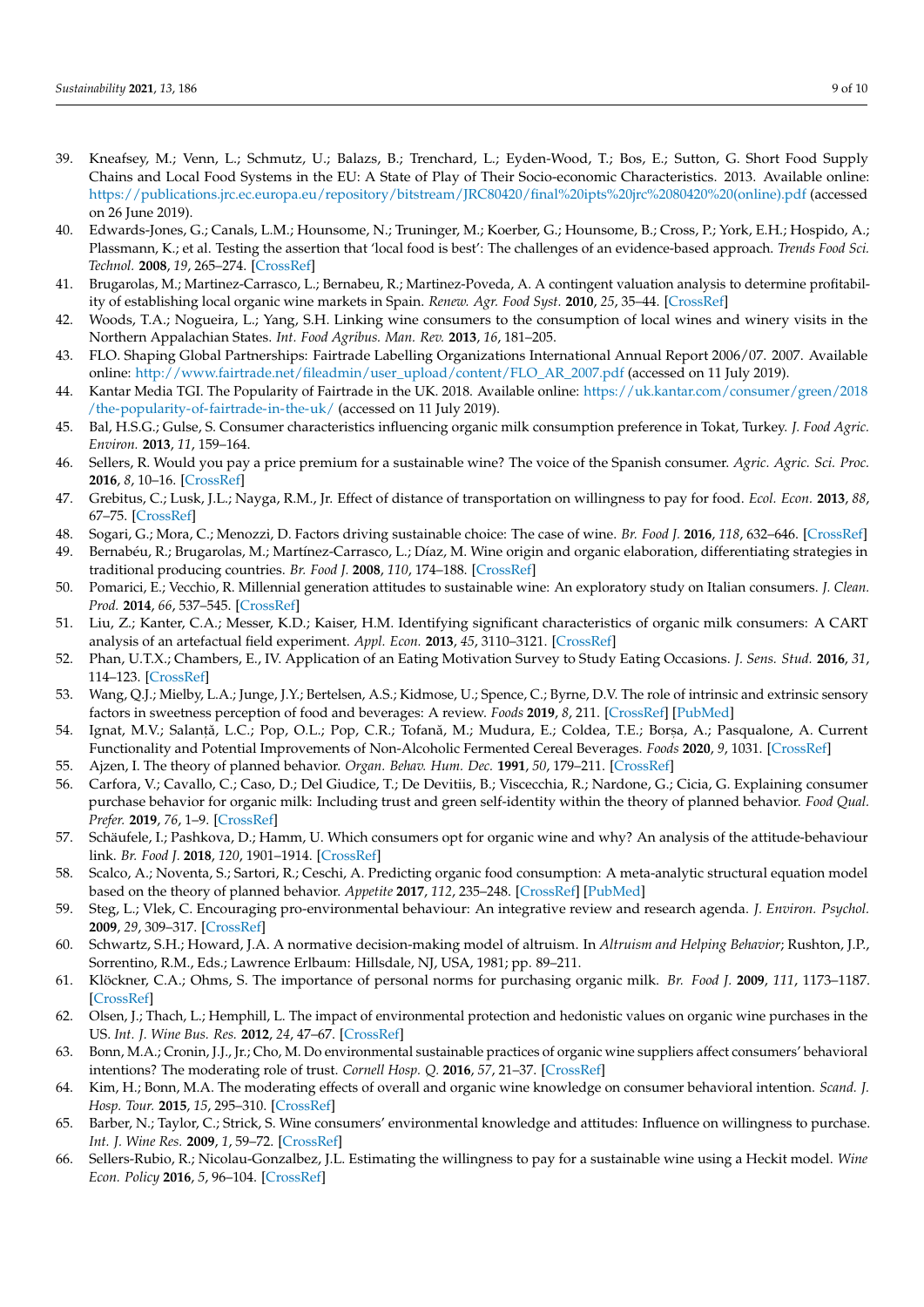- <span id="page-8-0"></span>39. Kneafsey, M.; Venn, L.; Schmutz, U.; Balazs, B.; Trenchard, L.; Eyden-Wood, T.; Bos, E.; Sutton, G. Short Food Supply Chains and Local Food Systems in the EU: A State of Play of Their Socio-economic Characteristics. 2013. Available online: [https://publications.jrc.ec.europa.eu/repository/bitstream/JRC80420/final%20ipts%20jrc%2080420%20\(online\).pdf](https://publications.jrc.ec.europa.eu/repository/bitstream/JRC80420/final%20ipts%20jrc%2080420%20(online).pdf) (accessed on 26 June 2019).
- <span id="page-8-1"></span>40. Edwards-Jones, G.; Canals, L.M.; Hounsome, N.; Truninger, M.; Koerber, G.; Hounsome, B.; Cross, P.; York, E.H.; Hospido, A.; Plassmann, K.; et al. Testing the assertion that 'local food is best': The challenges of an evidence-based approach. *Trends Food Sci. Technol.* **2008**, *19*, 265–274. [\[CrossRef\]](http://dx.doi.org/10.1016/j.tifs.2008.01.008)
- <span id="page-8-2"></span>41. Brugarolas, M.; Martinez-Carrasco, L.; Bernabeu, R.; Martinez-Poveda, A. A contingent valuation analysis to determine profitability of establishing local organic wine markets in Spain. *Renew. Agr. Food Syst.* **2010**, *25*, 35–44. [\[CrossRef\]](http://dx.doi.org/10.1017/S1742170509990202)
- <span id="page-8-3"></span>42. Woods, T.A.; Nogueira, L.; Yang, S.H. Linking wine consumers to the consumption of local wines and winery visits in the Northern Appalachian States. *Int. Food Agribus. Man. Rev.* **2013**, *16*, 181–205.
- <span id="page-8-4"></span>43. FLO. Shaping Global Partnerships: Fairtrade Labelling Organizations International Annual Report 2006/07. 2007. Available online: [http://www.fairtrade.net/fileadmin/user\\_upload/content/FLO\\_AR\\_2007.pdf](http://www.fairtrade.net/fileadmin/user_upload/content/FLO_AR_2007.pdf) (accessed on 11 July 2019).
- <span id="page-8-5"></span>44. Kantar Media TGI. The Popularity of Fairtrade in the UK. 2018. Available online: [https://uk.kantar.com/consumer/green/2018](https://uk.kantar.com/consumer/green/2018/the-popularity-of-fairtrade-in-the-uk/) [/the-popularity-of-fairtrade-in-the-uk/](https://uk.kantar.com/consumer/green/2018/the-popularity-of-fairtrade-in-the-uk/) (accessed on 11 July 2019).
- <span id="page-8-6"></span>45. Bal, H.S.G.; Gulse, S. Consumer characteristics influencing organic milk consumption preference in Tokat, Turkey. *J. Food Agric. Environ.* **2013**, *11*, 159–164.
- <span id="page-8-7"></span>46. Sellers, R. Would you pay a price premium for a sustainable wine? The voice of the Spanish consumer. *Agric. Agric. Sci. Proc.* **2016**, *8*, 10–16. [\[CrossRef\]](http://dx.doi.org/10.1016/j.aaspro.2016.02.003)
- <span id="page-8-8"></span>47. Grebitus, C.; Lusk, J.L.; Nayga, R.M., Jr. Effect of distance of transportation on willingness to pay for food. *Ecol. Econ.* **2013**, *88*, 67–75. [\[CrossRef\]](http://dx.doi.org/10.1016/j.ecolecon.2013.01.006)
- <span id="page-8-9"></span>48. Sogari, G.; Mora, C.; Menozzi, D. Factors driving sustainable choice: The case of wine. *Br. Food J.* **2016**, *118*, 632–646. [\[CrossRef\]](http://dx.doi.org/10.1108/BFJ-04-2015-0131)
- <span id="page-8-10"></span>49. Bernabéu, R.; Brugarolas, M.; Martínez-Carrasco, L.; Díaz, M. Wine origin and organic elaboration, differentiating strategies in traditional producing countries. *Br. Food J.* **2008**, *110*, 174–188. [\[CrossRef\]](http://dx.doi.org/10.1108/00070700810849899)
- <span id="page-8-11"></span>50. Pomarici, E.; Vecchio, R. Millennial generation attitudes to sustainable wine: An exploratory study on Italian consumers. *J. Clean. Prod.* **2014**, *66*, 537–545. [\[CrossRef\]](http://dx.doi.org/10.1016/j.jclepro.2013.10.058)
- <span id="page-8-12"></span>51. Liu, Z.; Kanter, C.A.; Messer, K.D.; Kaiser, H.M. Identifying significant characteristics of organic milk consumers: A CART analysis of an artefactual field experiment. *Appl. Econ.* **2013**, *45*, 3110–3121. [\[CrossRef\]](http://dx.doi.org/10.1080/00036846.2012.699189)
- <span id="page-8-13"></span>52. Phan, U.T.X.; Chambers, E., IV. Application of an Eating Motivation Survey to Study Eating Occasions. *J. Sens. Stud.* **2016**, *31*, 114–123. [\[CrossRef\]](http://dx.doi.org/10.1111/joss.12197)
- <span id="page-8-14"></span>53. Wang, Q.J.; Mielby, L.A.; Junge, J.Y.; Bertelsen, A.S.; Kidmose, U.; Spence, C.; Byrne, D.V. The role of intrinsic and extrinsic sensory factors in sweetness perception of food and beverages: A review. *Foods* **2019**, *8*, 211. [\[CrossRef\]](http://dx.doi.org/10.3390/foods8060211) [\[PubMed\]](http://www.ncbi.nlm.nih.gov/pubmed/31208021)
- <span id="page-8-15"></span>54. Ignat, M.V.; Salanță, L.C.; Pop, O.L.; Pop, C.R.; Tofană, M.; Mudura, E.; Coldea, T.E.; Borșa, A.; Pasqualone, A. Current Functionality and Potential Improvements of Non-Alcoholic Fermented Cereal Beverages. *Foods* **2020**, *9*, 1031. [\[CrossRef\]](http://dx.doi.org/10.3390/foods9081031)
- <span id="page-8-16"></span>55. Ajzen, I. The theory of planned behavior. *Organ. Behav. Hum. Dec.* **1991**, *50*, 179–211. [\[CrossRef\]](http://dx.doi.org/10.1016/0749-5978(91)90020-T)
- <span id="page-8-17"></span>56. Carfora, V.; Cavallo, C.; Caso, D.; Del Giudice, T.; De Devitiis, B.; Viscecchia, R.; Nardone, G.; Cicia, G. Explaining consumer purchase behavior for organic milk: Including trust and green self-identity within the theory of planned behavior. *Food Qual. Prefer.* **2019**, *76*, 1–9. [\[CrossRef\]](http://dx.doi.org/10.1016/j.foodqual.2019.03.006)
- <span id="page-8-18"></span>57. Schäufele, I.; Pashkova, D.; Hamm, U. Which consumers opt for organic wine and why? An analysis of the attitude-behaviour link. *Br. Food J.* **2018**, *120*, 1901–1914. [\[CrossRef\]](http://dx.doi.org/10.1108/BFJ-03-2018-0141)
- <span id="page-8-19"></span>58. Scalco, A.; Noventa, S.; Sartori, R.; Ceschi, A. Predicting organic food consumption: A meta-analytic structural equation model based on the theory of planned behavior. *Appetite* **2017**, *112*, 235–248. [\[CrossRef\]](http://dx.doi.org/10.1016/j.appet.2017.02.007) [\[PubMed\]](http://www.ncbi.nlm.nih.gov/pubmed/28188865)
- <span id="page-8-20"></span>59. Steg, L.; Vlek, C. Encouraging pro-environmental behaviour: An integrative review and research agenda. *J. Environ. Psychol.* **2009**, *29*, 309–317. [\[CrossRef\]](http://dx.doi.org/10.1016/j.jenvp.2008.10.004)
- <span id="page-8-21"></span>60. Schwartz, S.H.; Howard, J.A. A normative decision-making model of altruism. In *Altruism and Helping Behavior*; Rushton, J.P., Sorrentino, R.M., Eds.; Lawrence Erlbaum: Hillsdale, NJ, USA, 1981; pp. 89–211.
- <span id="page-8-22"></span>61. Klöckner, C.A.; Ohms, S. The importance of personal norms for purchasing organic milk. *Br. Food J.* **2009**, *111*, 1173–1187. [\[CrossRef\]](http://dx.doi.org/10.1108/00070700911001013)
- <span id="page-8-23"></span>62. Olsen, J.; Thach, L.; Hemphill, L. The impact of environmental protection and hedonistic values on organic wine purchases in the US. *Int. J. Wine Bus. Res.* **2012**, *24*, 47–67. [\[CrossRef\]](http://dx.doi.org/10.1108/17511061211213783)
- <span id="page-8-24"></span>63. Bonn, M.A.; Cronin, J.J., Jr.; Cho, M. Do environmental sustainable practices of organic wine suppliers affect consumers' behavioral intentions? The moderating role of trust. *Cornell Hosp. Q.* **2016**, *57*, 21–37. [\[CrossRef\]](http://dx.doi.org/10.1177/1938965515576567)
- <span id="page-8-25"></span>64. Kim, H.; Bonn, M.A. The moderating effects of overall and organic wine knowledge on consumer behavioral intention. *Scand. J. Hosp. Tour.* **2015**, *15*, 295–310. [\[CrossRef\]](http://dx.doi.org/10.1080/15022250.2015.1007083)
- <span id="page-8-26"></span>65. Barber, N.; Taylor, C.; Strick, S. Wine consumers' environmental knowledge and attitudes: Influence on willingness to purchase. *Int. J. Wine Res.* **2009**, *1*, 59–72. [\[CrossRef\]](http://dx.doi.org/10.2147/IJWR.S4649)
- <span id="page-8-27"></span>66. Sellers-Rubio, R.; Nicolau-Gonzalbez, J.L. Estimating the willingness to pay for a sustainable wine using a Heckit model. *Wine Econ. Policy* **2016**, *5*, 96–104. [\[CrossRef\]](http://dx.doi.org/10.1016/j.wep.2016.09.002)